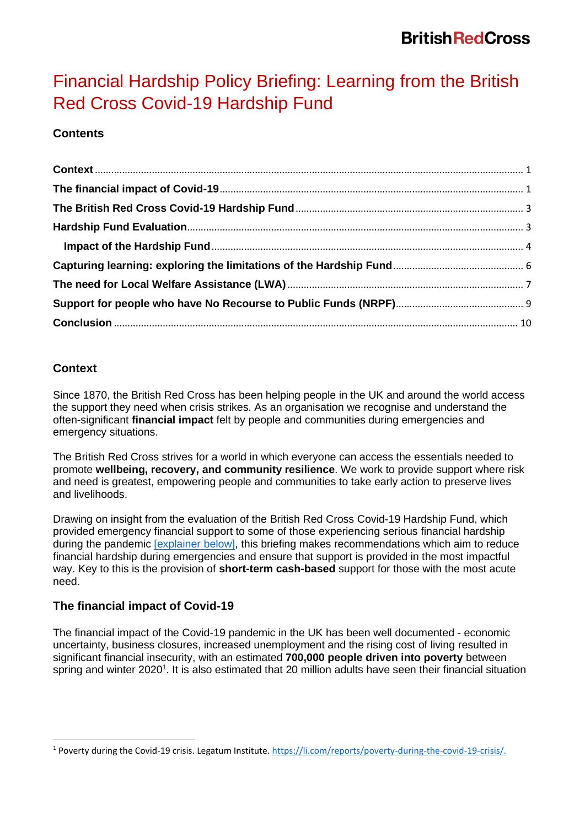# Financial Hardship Policy Briefing: Learning from the British Red Cross Covid-19 Hardship Fund

# **Contents**

# <span id="page-0-0"></span>**Context**

Since 1870, the British Red Cross has been helping people in the UK and around the world access the support they need when crisis strikes. As an organisation we recognise and understand the often-significant **financial impact** felt by people and communities during emergencies and emergency situations.

The British Red Cross strives for a world in which everyone can access the essentials needed to promote **wellbeing, recovery, and community resilience**. We work to provide support where risk and need is greatest, empowering people and communities to take early action to preserve lives and livelihoods.

Drawing on insight from the evaluation of the British Red Cross Covid-19 Hardship Fund, which provided emergency financial support to some of those experiencing serious financial hardship during the pandemic [explainer below], this briefing makes recommendations which aim to reduce financial hardship during emergencies and ensure that support is provided in the most impactful way. Key to this is the provision of **short-term cash-based** support for those with the most acute need.

# <span id="page-0-1"></span>**The financial impact of Covid-19**

The financial impact of the Covid-19 pandemic in the UK has been well documented - economic uncertainty, business closures, increased unemployment and the rising cost of living resulted in significant financial insecurity, with an estimated **700,000 people driven into poverty** between spring and winter 2020<sup>1</sup>. It is also estimated that 20 million adults have seen their financial situation

<sup>1</sup> Poverty during the Covid-19 crisis. Legatum Institute. [https://li.com/reports/poverty-during-the-covid-19-crisis/.](https://li.com/reports/poverty-during-the-covid-19-crisis/)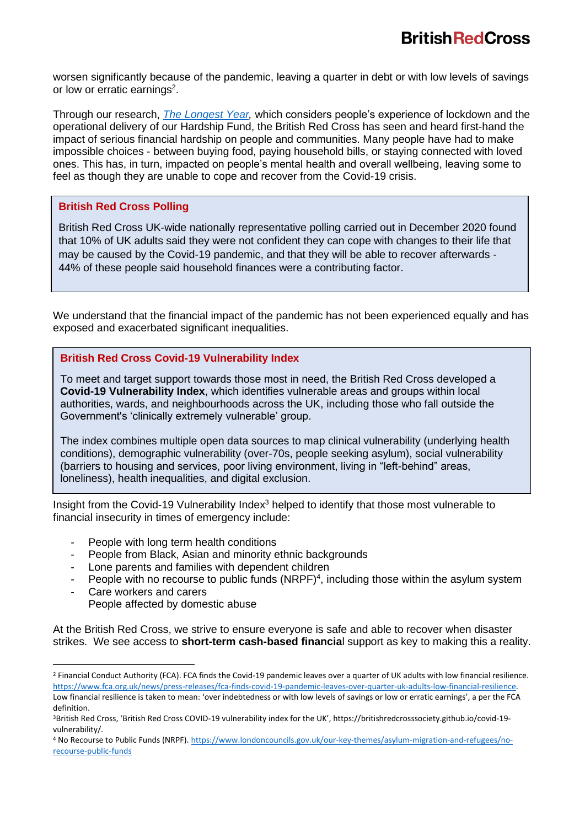worsen significantly because of the pandemic, leaving a quarter in debt or with low levels of savings or low or erratic earnings<sup>2</sup>.

Through our research, *[The Longest](https://www.redcross.org.uk/about-us/what-we-do/we-speak-up-for-change/the-longest-year-life-under-lockdown) Year,* which considers people's experience of lockdown and the operational delivery of our Hardship Fund, the British Red Cross has seen and heard first-hand the impact of serious financial hardship on people and communities. Many people have had to make impossible choices - between buying food, paying household bills, or staying connected with loved ones. This has, in turn, impacted on people's mental health and overall wellbeing, leaving some to feel as though they are unable to cope and recover from the Covid-19 crisis.

#### **British Red Cross Polling**

British Red Cross UK-wide nationally representative polling carried out in December 2020 found that 10% of UK adults said they were not confident they can cope with changes to their life that may be caused by the Covid-19 pandemic, and that they will be able to recover afterwards - 44% of these people said household finances were a contributing factor.

We understand that the financial impact of the pandemic has not been experienced equally and has exposed and exacerbated significant inequalities.

#### **British Red Cross Covid-19 Vulnerability Index**

To meet and target support towards those most in need, the British Red Cross developed a **Covid-19 Vulnerability Index**, which identifies vulnerable areas and groups within local authorities, wards, and neighbourhoods across the UK, including those who fall outside the Government's 'clinically extremely vulnerable' group.

The index combines multiple open data sources to map clinical vulnerability (underlying health conditions), demographic vulnerability (over-70s, people seeking asylum), social vulnerability (barriers to housing and services, poor living environment, living in "left-behind" areas, loneliness), health inequalities, and digital exclusion.

Insight from the Covid-19 Vulnerability Index<sup>3</sup> helped to identify that those most vulnerable to financial insecurity in times of emergency include:

- People with long term health conditions
- People from Black, Asian and minority ethnic backgrounds
- Lone parents and families with dependent children
- People with no recourse to public funds  $(NRPF)^4$ , including those within the asylum system
- Care workers and carers People affected by domestic abuse

At the British Red Cross, we strive to ensure everyone is safe and able to recover when disaster strikes. We see access to **short-term cash-based financia**l support as key to making this a reality.

<sup>&</sup>lt;sup>2</sup> Financial Conduct Authority (FCA). FCA finds the Covid-19 pandemic leaves over a quarter of UK adults with low financial resilience. [https://www.fca.org.uk/news/press-releases/fca-finds-covid-19-pandemic-leaves-over-quarter-uk-adults-low-financial-resilience.](https://www.fca.org.uk/news/press-releases/fca-finds-covid-19-pandemic-leaves-over-quarter-uk-adults-low-financial-resilience) 

Low financial resilience is taken to mean: 'over indebtedness or with low levels of savings or low or erratic earnings', a per the FCA definition.

<sup>3</sup>British Red Cross, 'British Red Cross COVID-19 vulnerability index for the UK', https://britishredcrosssociety.github.io/covid-19 vulnerability/.

<sup>4</sup> No Recourse to Public Funds (NRPF)[. https://www.londoncouncils.gov.uk/our-key-themes/asylum-migration-and-refugees/no](https://www.londoncouncils.gov.uk/our-key-themes/asylum-migration-and-refugees/no-recourse-public-funds)[recourse-public-funds](https://www.londoncouncils.gov.uk/our-key-themes/asylum-migration-and-refugees/no-recourse-public-funds)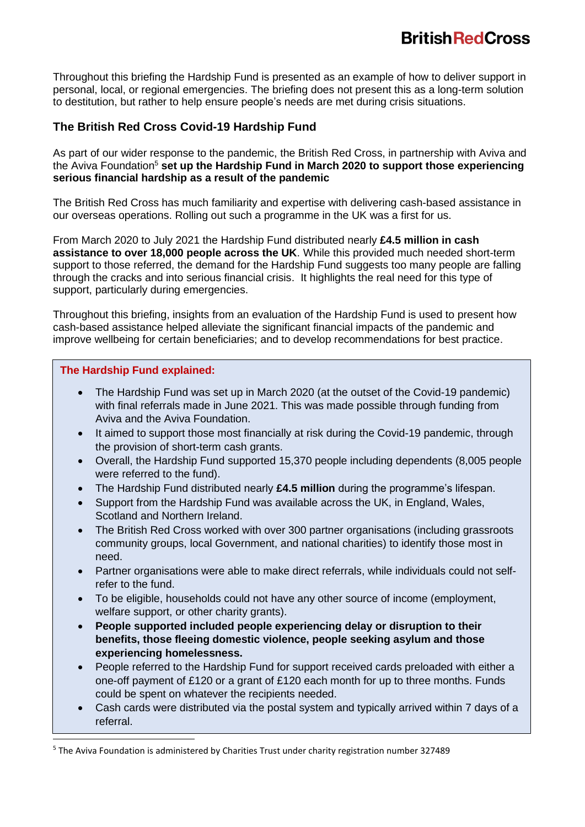Throughout this briefing the Hardship Fund is presented as an example of how to deliver support in personal, local, or regional emergencies. The briefing does not present this as a long-term solution to destitution, but rather to help ensure people's needs are met during crisis situations.

# <span id="page-2-0"></span>**The British Red Cross Covid-19 Hardship Fund**

As part of our wider response to the pandemic, the British Red Cross, in partnership with Aviva and the Aviva Foundation<sup>5</sup> set up the Hardship Fund in March 2020 to support those experiencing **serious financial hardship as a result of the pandemic**

The British Red Cross has much familiarity and expertise with delivering cash-based assistance in our overseas operations. Rolling out such a programme in the UK was a first for us.

From March 2020 to July 2021 the Hardship Fund distributed nearly **£4.5 million in cash assistance to over 18,000 people across the UK**. While this provided much needed short-term support to those referred, the demand for the Hardship Fund suggests too many people are falling through the cracks and into serious financial crisis. It highlights the real need for this type of support, particularly during emergencies.

Throughout this briefing, insights from an evaluation of the Hardship Fund is used to present how cash-based assistance helped alleviate the significant financial impacts of the pandemic and improve wellbeing for certain beneficiaries; and to develop recommendations for best practice.

#### **The Hardship Fund explained:**

- The Hardship Fund was set up in March 2020 (at the outset of the Covid-19 pandemic) with final referrals made in June 2021. This was made possible through funding from Aviva and the Aviva Foundation.
- It aimed to support those most financially at risk during the Covid-19 pandemic, through the provision of short-term cash grants.
- Overall, the Hardship Fund supported 15,370 people including dependents (8,005 people were referred to the fund).
- The Hardship Fund distributed nearly **£4.5 million** during the programme's lifespan.
- Support from the Hardship Fund was available across the UK, in England, Wales, Scotland and Northern Ireland.
- The British Red Cross worked with over 300 partner organisations (including grassroots community groups, local Government, and national charities) to identify those most in need.
- Partner organisations were able to make direct referrals, while individuals could not selfrefer to the fund.
- To be eligible, households could not have any other source of income (employment, welfare support, or other charity grants).
- **People supported included people experiencing delay or disruption to their benefits, those fleeing domestic violence, people seeking asylum and those experiencing homelessness.**
- <span id="page-2-1"></span>**Hard Could be spent on whatever the recipients needed.** • People referred to the Hardship Fund for support received cards preloaded with either a one-off payment of £120 or a grant of £120 each month for up to three months. Funds
	- Cash cards were distributed via the postal system and typically arrived within 7 days of a referral.

<sup>&</sup>lt;sup>5</sup> The Aviva Foundation is administered by Charities Trust under charity registration number 327489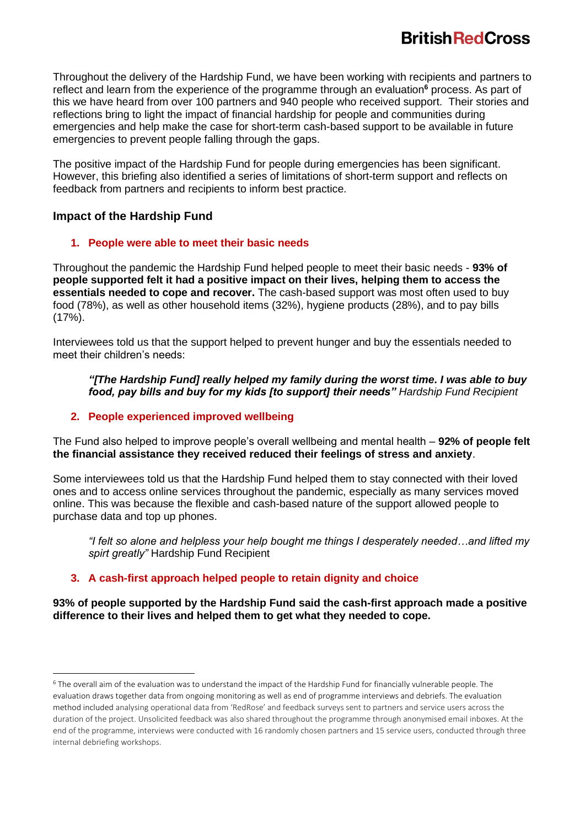Throughout the delivery of the Hardship Fund, we have been working with recipients and partners to reflect and learn from the experience of the programme through an evaluation**<sup>6</sup>** process. As part of this we have heard from over 100 partners and 940 people who received support. Their stories and reflections bring to light the impact of financial hardship for people and communities during emergencies and help make the case for short-term cash-based support to be available in future emergencies to prevent people falling through the gaps.

The positive impact of the Hardship Fund for people during emergencies has been significant. However, this briefing also identified a series of limitations of short-term support and reflects on feedback from partners and recipients to inform best practice.

## <span id="page-3-0"></span>**Impact of the Hardship Fund**

### **1. People were able to meet their basic needs**

Throughout the pandemic the Hardship Fund helped people to meet their basic needs - **93% of people supported felt it had a positive impact on their lives, helping them to access the essentials needed to cope and recover.** The cash-based support was most often used to buy food (78%), as well as other household items (32%), hygiene products (28%), and to pay bills (17%).

Interviewees told us that the support helped to prevent hunger and buy the essentials needed to meet their children's needs:

#### *"[The Hardship Fund] really helped my family during the worst time. I was able to buy food, pay bills and buy for my kids [to support] their needs" Hardship Fund Recipient*

## **2. People experienced improved wellbeing**

The Fund also helped to improve people's overall wellbeing and mental health – **92% of people felt the financial assistance they received reduced their feelings of stress and anxiety**.

Some interviewees told us that the Hardship Fund helped them to stay connected with their loved ones and to access online services throughout the pandemic, especially as many services moved online. This was because the flexible and cash-based nature of the support allowed people to purchase data and top up phones.

*"I felt so alone and helpless your help bought me things I desperately needed…and lifted my spirt greatly"* Hardship Fund Recipient

## **3. A cash-first approach helped people to retain dignity and choice**

**93% of people supported by the Hardship Fund said the cash-first approach made a positive difference to their lives and helped them to get what they needed to cope.** 

<sup>6</sup> The overall aim of the evaluation was to understand the impact of the Hardship Fund for financially vulnerable people. The evaluation draws together data from ongoing monitoring as well as end of programme interviews and debriefs. The evaluation method included analysing operational data from 'RedRose' and feedback surveys sent to partners and service users across the duration of the project. Unsolicited feedback was also shared throughout the programme through anonymised email inboxes. At the end of the programme, interviews were conducted with 16 randomly chosen partners and 15 service users, conducted through three internal debriefing workshops.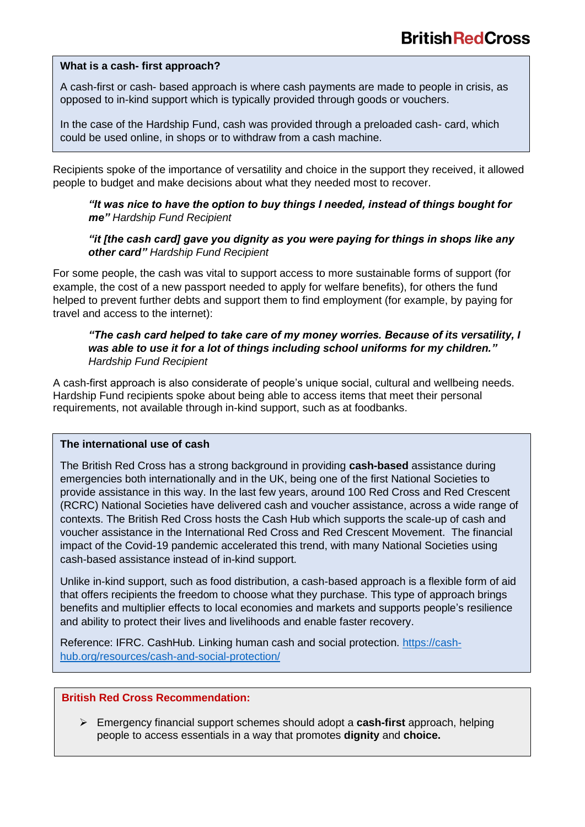#### **What is a cash- first approach?**

A cash-first or cash- based approach is where cash payments are made to people in crisis, as opposed to in-kind support which is typically provided through goods or vouchers.

In the case of the Hardship Fund, cash was provided through a preloaded cash- card, which could be used online, in shops or to withdraw from a cash machine.

Recipients spoke of the importance of versatility and choice in the support they received, it allowed people to budget and make decisions about what they needed most to recover.

*"It was nice to have the option to buy things I needed, instead of things bought for me" Hardship Fund Recipient*

#### *"it [the cash card] gave you dignity as you were paying for things in shops like any other card" Hardship Fund Recipient*

For some people, the cash was vital to support access to more sustainable forms of support (for example, the cost of a new passport needed to apply for welfare benefits), for others the fund helped to prevent further debts and support them to find employment (for example, by paying for travel and access to the internet):

#### *"The cash card helped to take care of my money worries. Because of its versatility, I was able to use it for a lot of things including school uniforms for my children." Hardship Fund Recipient*

A cash-first approach is also considerate of people's unique social, cultural and wellbeing needs. Hardship Fund recipients spoke about being able to access items that meet their personal requirements, not available through in-kind support, such as at foodbanks.

#### **The international use of cash**

The British Red Cross has a strong background in providing **cash-based** assistance during emergencies both internationally and in the UK, being one of the first National Societies to provide assistance in this way. In the last few years, around 100 Red Cross and Red Crescent (RCRC) National Societies have delivered cash and voucher assistance, across a wide range of contexts. The British Red Cross hosts the Cash Hub which supports the scale-up of cash and voucher assistance in the International Red Cross and Red Crescent Movement. The financial impact of the Covid-19 pandemic accelerated this trend, with many National Societies using cash-based assistance instead of in-kind support.

Unlike in-kind support, such as food distribution, a cash-based approach is a flexible form of aid that offers recipients the freedom to choose what they purchase. This type of approach brings benefits and multiplier effects to local economies and markets and supports people's resilience and ability to protect their lives and livelihoods and enable faster recovery.

Reference: IFRC. CashHub. Linking human cash and social protection. [https://cash](https://cash-hub.org/resources/cash-and-social-protection/)[hub.org/resources/cash-and-social-protection/](https://cash-hub.org/resources/cash-and-social-protection/)

## **British Red Cross Recommendation:**

➢ Emergency financial support schemes should adopt a **cash-first** approach, helping people to access essentials in a way that promotes **dignity** and **choice.**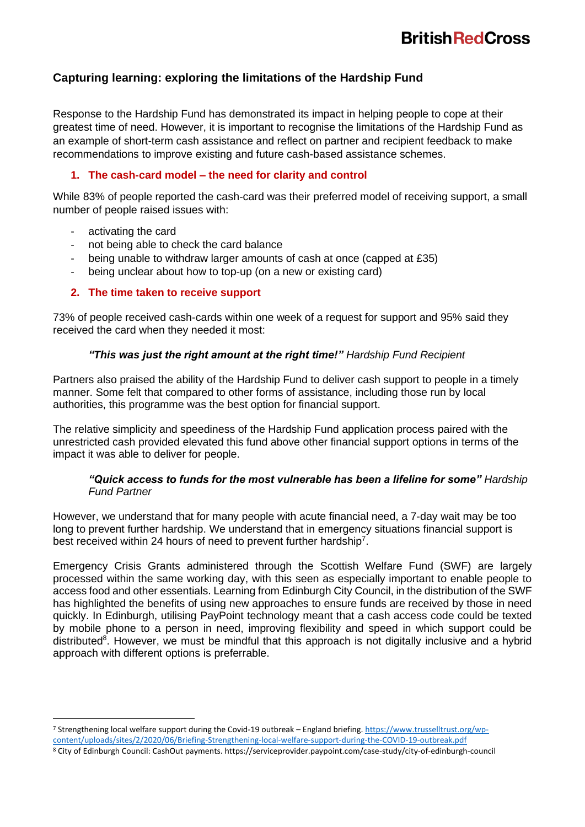## <span id="page-5-0"></span>**Capturing learning: exploring the limitations of the Hardship Fund**

Response to the Hardship Fund has demonstrated its impact in helping people to cope at their greatest time of need. However, it is important to recognise the limitations of the Hardship Fund as an example of short-term cash assistance and reflect on partner and recipient feedback to make recommendations to improve existing and future cash-based assistance schemes.

#### **1. The cash-card model – the need for clarity and control**

While 83% of people reported the cash-card was their preferred model of receiving support, a small number of people raised issues with:

- activating the card
- not being able to check the card balance
- being unable to withdraw larger amounts of cash at once (capped at £35)
- being unclear about how to top-up (on a new or existing card)

#### **2. The time taken to receive support**

73% of people received cash-cards within one week of a request for support and 95% said they received the card when they needed it most:

#### *"This was just the right amount at the right time!" Hardship Fund Recipient*

Partners also praised the ability of the Hardship Fund to deliver cash support to people in a timely manner. Some felt that compared to other forms of assistance, including those run by local authorities, this programme was the best option for financial support.

The relative simplicity and speediness of the Hardship Fund application process paired with the unrestricted cash provided elevated this fund above other financial support options in terms of the impact it was able to deliver for people.

#### *"Quick access to funds for the most vulnerable has been a lifeline for some" Hardship Fund Partner*

However, we understand that for many people with acute financial need, a 7-day wait may be too long to prevent further hardship. We understand that in emergency situations financial support is best received within 24 hours of need to prevent further hardship<sup>7</sup>.

Emergency Crisis Grants administered through the Scottish Welfare Fund (SWF) are largely processed within the same working day, with this seen as especially important to enable people to access food and other essentials. Learning from Edinburgh City Council, in the distribution of the SWF has highlighted the benefits of using new approaches to ensure funds are received by those in need quickly. In Edinburgh, utilising PayPoint technology meant that a cash access code could be texted by mobile phone to a person in need, improving flexibility and speed in which support could be distributed<sup>8</sup>. However, we must be mindful that this approach is not digitally inclusive and a hybrid approach with different options is preferrable.

<sup>7</sup> Strengthening local welfare support during the Covid-19 outbreak – England briefing. [https://www.trusselltrust.org/wp](https://www.trusselltrust.org/wp-content/uploads/sites/2/2020/06/Briefing-Strengthening-local-welfare-support-during-the-COVID-19-outbreak.pdf)[content/uploads/sites/2/2020/06/Briefing-Strengthening-local-welfare-support-during-the-COVID-19-outbreak.pdf](https://www.trusselltrust.org/wp-content/uploads/sites/2/2020/06/Briefing-Strengthening-local-welfare-support-during-the-COVID-19-outbreak.pdf)

<sup>8</sup> City of Edinburgh Council: CashOut payments. https://serviceprovider.paypoint.com/case-study/city-of-edinburgh-council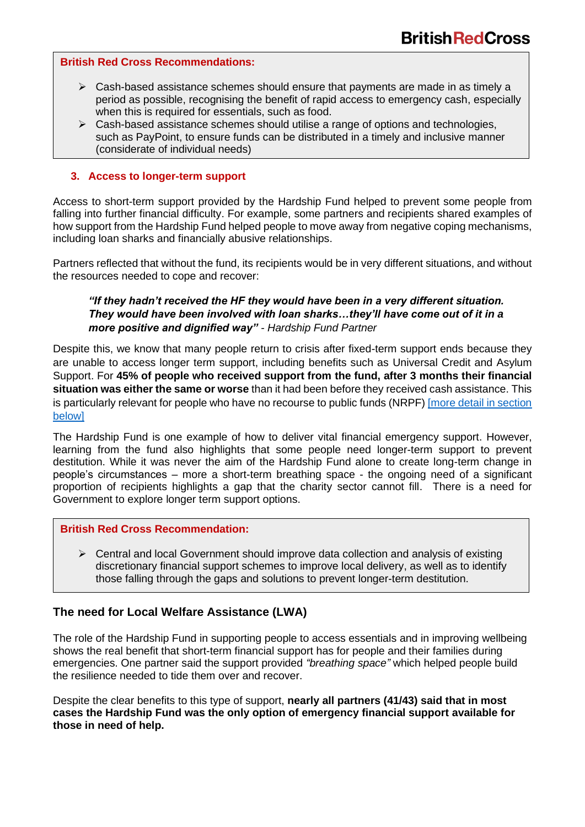#### **British Red Cross Recommendations:**

- ➢ Cash-based assistance schemes should ensure that payments are made in as timely a period as possible, recognising the benefit of rapid access to emergency cash, especially when this is required for essentials, such as food.
- $\triangleright$  Cash-based assistance schemes should utilise a range of options and technologies, such as PayPoint, to ensure funds can be distributed in a timely and inclusive manner (considerate of individual needs)

#### **3. Access to longer-term support**

Access to short-term support provided by the Hardship Fund helped to prevent some people from falling into further financial difficulty. For example, some partners and recipients shared examples of how support from the Hardship Fund helped people to move away from negative coping mechanisms, including loan sharks and financially abusive relationships.

Partners reflected that without the fund, its recipients would be in very different situations, and without the resources needed to cope and recover:

#### *"If they hadn't received the HF they would have been in a very different situation. They would have been involved with loan sharks…they'll have come out of it in a more positive and dignified way" - Hardship Fund Partner*

Despite this, we know that many people return to crisis after fixed-term support ends because they are unable to access longer term support, including benefits such as Universal Credit and Asylum Support. For **45% of people who received support from the fund, after 3 months their financial situation was either the same or worse** than it had been before they received cash assistance. This is particularly relevant for people who have no recourse to public funds (NRPF) [more detail in section [below\]](#page-7-0)

The Hardship Fund is one example of how to deliver vital financial emergency support. However, learning from the fund also highlights that some people need longer-term support to prevent destitution. While it was never the aim of the Hardship Fund alone to create long-term change in people's circumstances – more a short-term breathing space - the ongoing need of a significant proportion of recipients highlights a gap that the charity sector cannot fill. There is a need for Government to explore longer term support options.

#### **British Red Cross Recommendation:**

 $\triangleright$  Central and local Government should improve data collection and analysis of existing discretionary financial support schemes to improve local delivery, as well as to identify those falling through the gaps and solutions to prevent longer-term destitution.

## <span id="page-6-0"></span>**The need for Local Welfare Assistance (LWA)**

The role of the Hardship Fund in supporting people to access essentials and in improving wellbeing shows the real benefit that short-term financial support has for people and their families during emergencies. One partner said the support provided *"breathing space"* which helped people build the resilience needed to tide them over and recover.

Despite the clear benefits to this type of support, **nearly all partners (41/43) said that in most cases the Hardship Fund was the only option of emergency financial support available for those in need of help.**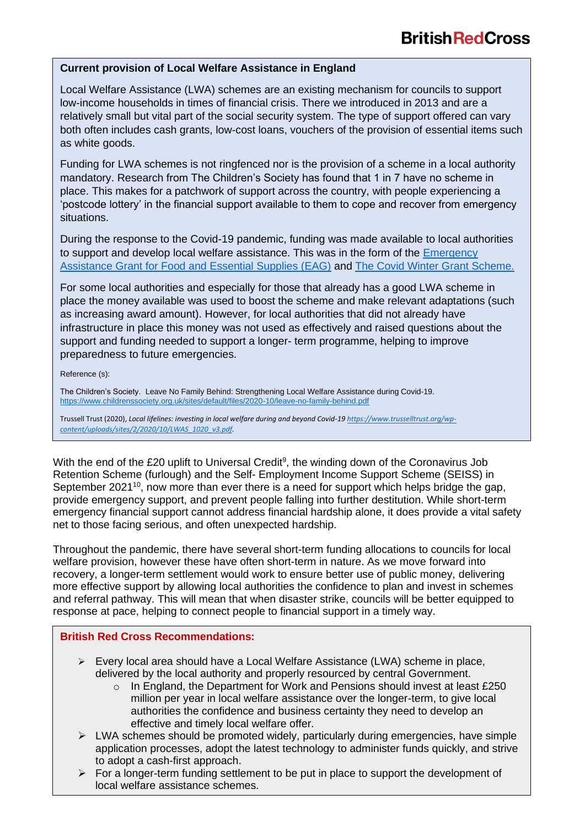#### **Current provision of Local Welfare Assistance in England**

Local Welfare Assistance (LWA) schemes are an existing mechanism for councils to support low-income households in times of financial crisis. There we introduced in 2013 and are a relatively small but vital part of the social security system. The type of support offered can vary both often includes cash grants, low-cost loans, vouchers of the provision of essential items such as white goods.

Funding for LWA schemes is not ringfenced nor is the provision of a scheme in a local authority mandatory. Research from The Children's Society has found that 1 in 7 have no scheme in place. This makes for a patchwork of support across the country, with people experiencing a 'postcode lottery' in the financial support available to them to cope and recover from emergency situations.

During the response to the Covid-19 pandemic, funding was made available to local authorities to support and develop local welfare assistance. This was in the form of the [Emergency](https://www.gov.uk/government/publications/coronavirus-covid-19-local-authority-emergency-assistance-grant-for-food-and-essential-supplies/coronavirus-covid-19-local-authority-emergency-assistance-grant-for-food-and-essential-supplies)  [Assistance Grant for Food and Essential Supplies \(EAG\)](https://www.gov.uk/government/publications/coronavirus-covid-19-local-authority-emergency-assistance-grant-for-food-and-essential-supplies/coronavirus-covid-19-local-authority-emergency-assistance-grant-for-food-and-essential-supplies) and [The Covid Winter Grant Scheme.](https://www.gov.uk/government/publications/covid-winter-grant-scheme)

For some local authorities and especially for those that already has a good LWA scheme in place the money available was used to boost the scheme and make relevant adaptations (such as increasing award amount). However, for local authorities that did not already have infrastructure in place this money was not used as effectively and raised questions about the support and funding needed to support a longer- term programme, helping to improve preparedness to future emergencies.

Reference (s):

The Children's Society. Leave No Family Behind: Strengthening Local Welfare Assistance during Covid-19. <https://www.childrenssociety.org.uk/sites/default/files/2020-10/leave-no-family-behind.pdf>

Trussell Trust (2020), *Local lifelines: investing in local welfare during and beyond Covid-1[9 https://www.trusselltrust.org/wp](https://www.trusselltrust.org/wp-content/uploads/sites/2/2020/10/LWAS_1020_v3.pdf)[content/uploads/sites/2/2020/10/LWAS\\_1020\\_v3.pdf.](https://www.trusselltrust.org/wp-content/uploads/sites/2/2020/10/LWAS_1020_v3.pdf)*

With the end of the £20 uplift to Universal Credit<sup>9</sup>, the winding down of the Coronavirus Job Retention Scheme (furlough) and the Self- Employment Income Support Scheme (SEISS) in September 2021<sup>10</sup>, now more than ever there is a need for support which helps bridge the gap, provide emergency support, and prevent people falling into further destitution. While short-term emergency financial support cannot address financial hardship alone, it does provide a vital safety net to those facing serious, and often unexpected hardship.

Throughout the pandemic, there have several short-term funding allocations to councils for local welfare provision, however these have often short-term in nature. As we move forward into recovery, a longer-term settlement would work to ensure better use of public money, delivering more effective support by allowing local authorities the confidence to plan and invest in schemes and referral pathway. This will mean that when disaster strike, councils will be better equipped to response at pace, helping to connect people to financial support in a timely way.

#### <span id="page-7-0"></span>**British Red Cross Recommendations:**

- $\triangleright$  Every local area should have a Local Welfare Assistance (LWA) scheme in place, delivered by the local authority and properly resourced by central Government.
- effective and timely local welfare offer.<br>effective and timely local-welfare offer. o In England, the Department for Work and Pensions should invest at least £250 million per year in local welfare assistance over the longer-term, to give local authorities the confidence and business certainty they need to develop an
- $\triangleright$  LWA schemes should be promoted widely, particularly during emergencies, have simple application processes, adopt the latest technology to administer funds quickly, and strive to adopt a cash-first approach.
	- $\triangleright$  For a longer-term funding settlement to be put in place to support the development of local welfare assistance schemes.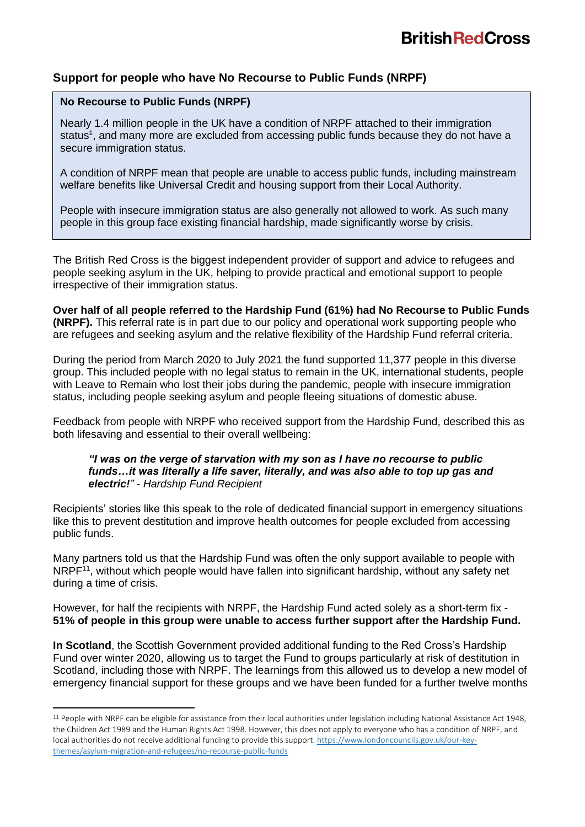## **Support for people who have No Recourse to Public Funds (NRPF)**

#### **No Recourse to Public Funds (NRPF)**

Nearly 1.4 million people in the UK have a condition of NRPF attached to their immigration status<sup>1</sup>, and many more are excluded from accessing public funds because they do not have a secure immigration status.

A condition of NRPF mean that people are unable to access public funds, including mainstream welfare benefits like Universal Credit and housing support from their Local Authority.

People with insecure immigration status are also generally not allowed to work. As such many people in this group face existing financial hardship, made significantly worse by crisis.

The British Red Cross is the biggest independent provider of support and advice to refugees and people seeking asylum in the UK, helping to provide practical and emotional support to people irrespective of their immigration status.

**Over half of all people referred to the Hardship Fund (61%) had No Recourse to Public Funds (NRPF).** This referral rate is in part due to our policy and operational work supporting people who are refugees and seeking asylum and the relative flexibility of the Hardship Fund referral criteria.

During the period from March 2020 to July 2021 the fund supported 11,377 people in this diverse group. This included people with no legal status to remain in the UK, international students, people with Leave to Remain who lost their jobs during the pandemic, people with insecure immigration status, including people seeking asylum and people fleeing situations of domestic abuse.

Feedback from people with NRPF who received support from the Hardship Fund, described this as both lifesaving and essential to their overall wellbeing:

#### *"I was on the verge of starvation with my son as I have no recourse to public funds…it was literally a life saver, literally, and was also able to top up gas and electric!" - Hardship Fund Recipient*

Recipients' stories like this speak to the role of dedicated financial support in emergency situations like this to prevent destitution and improve health outcomes for people excluded from accessing public funds.

Many partners told us that the Hardship Fund was often the only support available to people with NRPF<sup>11</sup>, without which people would have fallen into significant hardship, without any safety net during a time of crisis.

However, for half the recipients with NRPF, the Hardship Fund acted solely as a short-term fix - **51% of people in this group were unable to access further support after the Hardship Fund.** 

**In Scotland**, the Scottish Government provided additional funding to the Red Cross's Hardship Fund over winter 2020, allowing us to target the Fund to groups particularly at risk of destitution in Scotland, including those with NRPF. The learnings from this allowed us to develop a new model of emergency financial support for these groups and we have been funded for a further twelve months

 $11$  People with NRPF can be eligible for assistance from their local authorities under legislation including National Assistance Act 1948, the Children Act 1989 and the Human Rights Act 1998. However, this does not apply to everyone who has a condition of NRPF, and local authorities do not receive additional funding to provide this support[. https://www.londoncouncils.gov.uk/our-key](https://www.londoncouncils.gov.uk/our-key-themes/asylum-migration-and-refugees/no-recourse-public-funds)[themes/asylum-migration-and-refugees/no-recourse-public-funds](https://www.londoncouncils.gov.uk/our-key-themes/asylum-migration-and-refugees/no-recourse-public-funds)